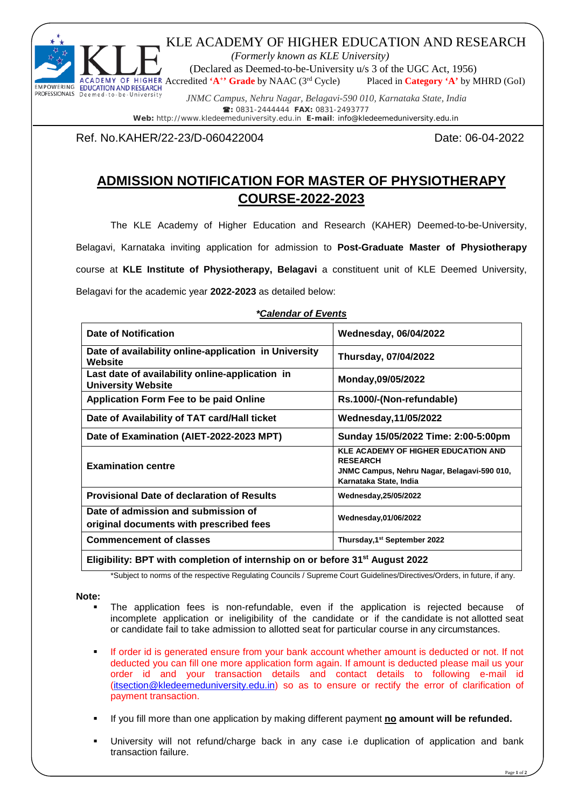KLE ACADEMY OF HIGHER EDUCATION AND RESEARCH

*(Formerly known as KLE University)* (Declared as Deemed-to-be-University u/s 3 of the UGC Act, 1956) ACADEMY OF HIGHER Accredited 'A<sup>+</sup>' Grade by NAAC (3<sup>rd</sup> Cycle) Placed in Category 'A' by MHRD (GoI)<br>PROFESSIONALS Deemed-to-be-University *INMC Compuse Nobru Nagar Polacani* 500.010 Karnataka State India

 *JNMC Campus, Nehru Nagar, Belagavi-590 010, Karnataka State, India* **:** 0831-2444444 **FAX:** 0831-2493777 **Web:** http://www.kledeemeduniversity.edu.in **E-mail**: [info@kledeemeduniversity.edu.in](mailto:info@kledeemeduniversity.edu.in)

Ref. No.KAHER/22-23/D-060422004 Date: 06-04-2022

**EMPOWERING** 

## **ADMISSION NOTIFICATION FOR MASTER OF PHYSIOTHERAPY COURSE-2022-2023**

The KLE Academy of Higher Education and Research (KAHER) Deemed-to-be-University, Belagavi, Karnataka inviting application for admission to **Post-Graduate Master of Physiotherapy** course at **KLE Institute of Physiotherapy, Belagavi** a constituent unit of KLE Deemed University, Belagavi for the academic year **2022-2023** as detailed below:

| Date of Notification                                                                     | <b>Wednesday, 06/04/2022</b>                                                                                                           |
|------------------------------------------------------------------------------------------|----------------------------------------------------------------------------------------------------------------------------------------|
| Date of availability online-application in University<br>Website                         | <b>Thursday, 07/04/2022</b>                                                                                                            |
| Last date of availability online-application in<br><b>University Website</b>             | Monday,09/05/2022                                                                                                                      |
| <b>Application Form Fee to be paid Online</b>                                            | Rs.1000/-(Non-refundable)                                                                                                              |
| Date of Availability of TAT card/Hall ticket                                             | <b>Wednesday, 11/05/2022</b>                                                                                                           |
| Date of Examination (AIET-2022-2023 MPT)                                                 | Sunday 15/05/2022 Time: 2:00-5:00pm                                                                                                    |
| <b>Examination centre</b>                                                                | <b>KLE ACADEMY OF HIGHER EDUCATION AND</b><br><b>RESEARCH</b><br>JNMC Campus, Nehru Nagar, Belagavi-590 010,<br>Karnataka State, India |
| <b>Provisional Date of declaration of Results</b>                                        | <b>Wednesday, 25/05/2022</b>                                                                                                           |
| Date of admission and submission of<br>original documents with prescribed fees           | <b>Wednesday,01/06/2022</b>                                                                                                            |
| <b>Commencement of classes</b>                                                           | Thursday, 1 <sup>st</sup> September 2022                                                                                               |
| Eligibility: BPT with completion of internship on or before 31 <sup>st</sup> August 2022 |                                                                                                                                        |

## *\*Calendar of Events*

\*Subject to norms of the respective Regulating Councils / Supreme Court Guidelines/Directives/Orders, in future, if any.

**Note:**

- The application fees is non-refundable, even if the application is rejected because of incomplete application or ineligibility of the candidate or if the candidate is not allotted seat or candidate fail to take admission to allotted seat for particular course in any circumstances.
- If order id is generated ensure from your bank account whether amount is deducted or not. If not deducted you can fill one more application form again. If amount is deducted please mail us your order id and your transaction details and contact details to following e-mail id [\(itsection@kledeemeduniversity.edu.in\)](mailto:itsection@kledeemeduniversity.edu.in) so as to ensure or rectify the error of clarification of payment transaction.
- If you fill more than one application by making different payment no amount will be refunded.
- University will not refund/charge back in any case i.e duplication of application and bank transaction failure.